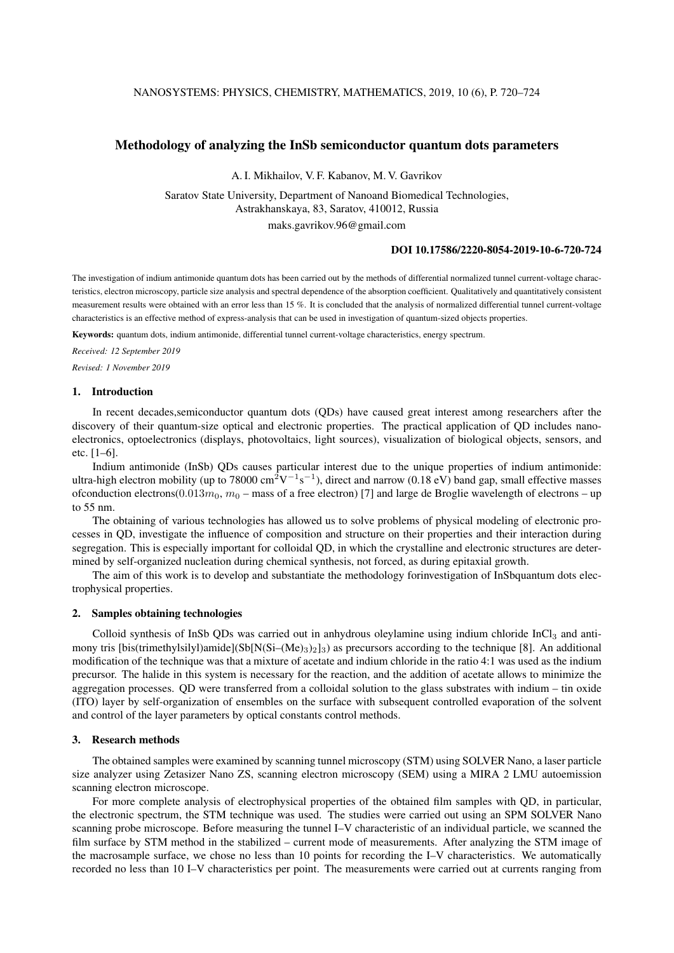# Methodology of analyzing the InSb semiconductor quantum dots parameters

A. I. Mikhailov, V. F. Kabanov, M. V. Gavrikov

Saratov State University, Department of Nanoand Biomedical Technologies, Astrakhanskaya, 83, Saratov, 410012, Russia maks.gavrikov.96@gmail.com

#### DOI 10.17586/2220-8054-2019-10-6-720-724

The investigation of indium antimonide quantum dots has been carried out by the methods of differential normalized tunnel current-voltage characteristics, electron microscopy, particle size analysis and spectral dependence of the absorption coefficient. Qualitatively and quantitatively consistent measurement results were obtained with an error less than 15 %. It is concluded that the analysis of normalized differential tunnel current-voltage characteristics is an effective method of express-analysis that can be used in investigation of quantum-sized objects properties.

Keywords: quantum dots, indium antimonide, differential tunnel current-voltage characteristics, energy spectrum.

*Received: 12 September 2019*

*Revised: 1 November 2019*

# 1. Introduction

In recent decades,semiconductor quantum dots (QDs) have caused great interest among researchers after the discovery of their quantum-size optical and electronic properties. The practical application of QD includes nanoelectronics, optoelectronics (displays, photovoltaics, light sources), visualization of biological objects, sensors, and etc. [1–6].

Indium antimonide (InSb) QDs causes particular interest due to the unique properties of indium antimonide: ultra-high electron mobility (up to 78000 cm<sup>2</sup>V<sup>-1</sup>s<sup>-1</sup>), direct and narrow (0.18 eV) band gap, small effective masses ofconduction electrons(0.013 $m_0$ ,  $m_0$  – mass of a free electron) [7] and large de Broglie wavelength of electrons – up to 55 nm.

The obtaining of various technologies has allowed us to solve problems of physical modeling of electronic processes in QD, investigate the influence of composition and structure on their properties and their interaction during segregation. This is especially important for colloidal QD, in which the crystalline and electronic structures are determined by self-organized nucleation during chemical synthesis, not forced, as during epitaxial growth.

The aim of this work is to develop and substantiate the methodology forinvestigation of InSbquantum dots electrophysical properties.

# 2. Samples obtaining technologies

Colloid synthesis of InSb QDs was carried out in anhydrous oleylamine using indium chloride InCl<sub>3</sub> and antimony tris [bis(trimethylsilyl)amide](Sb[N(Si–(Me)<sub>3</sub>)<sub>2</sub>]<sub>3</sub>) as precursors according to the technique [8]. An additional modification of the technique was that a mixture of acetate and indium chloride in the ratio 4:1 was used as the indium precursor. The halide in this system is necessary for the reaction, and the addition of acetate allows to minimize the aggregation processes. QD were transferred from a colloidal solution to the glass substrates with indium – tin oxide (ITO) layer by self-organization of ensembles on the surface with subsequent controlled evaporation of the solvent and control of the layer parameters by optical constants control methods.

#### 3. Research methods

The obtained samples were examined by scanning tunnel microscopy (STM) using SOLVER Nano, a laser particle size analyzer using Zetasizer Nano ZS, scanning electron microscopy (SEM) using a MIRA 2 LMU autoemission scanning electron microscope.

For more complete analysis of electrophysical properties of the obtained film samples with QD, in particular, the electronic spectrum, the STM technique was used. The studies were carried out using an SPM SOLVER Nano scanning probe microscope. Before measuring the tunnel I–V characteristic of an individual particle, we scanned the film surface by STM method in the stabilized – current mode of measurements. After analyzing the STM image of the macrosample surface, we chose no less than 10 points for recording the I–V characteristics. We automatically recorded no less than 10 I–V characteristics per point. The measurements were carried out at currents ranging from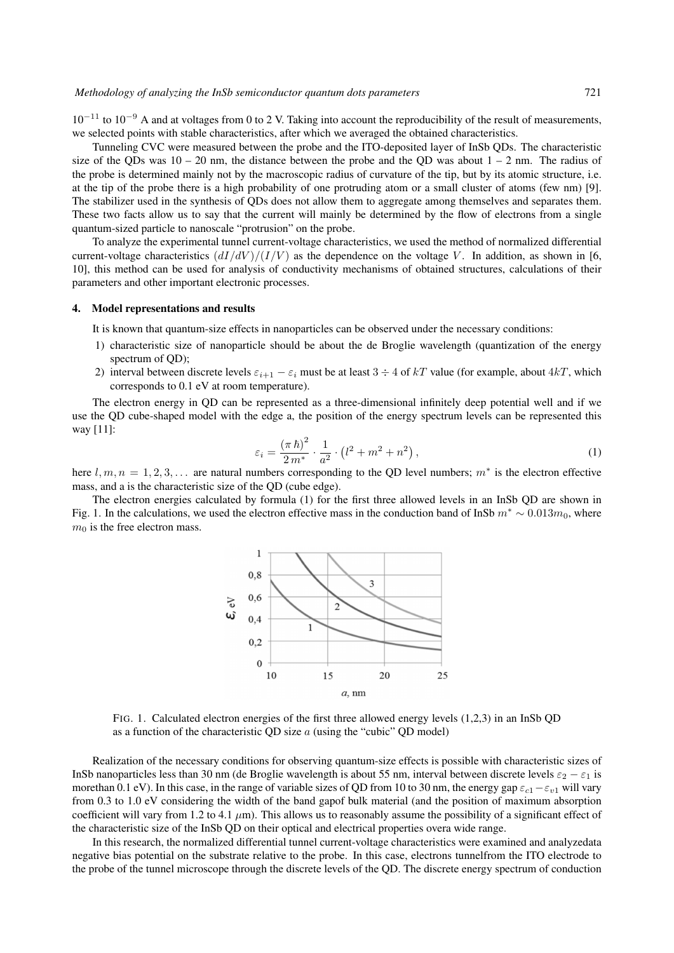$10^{-11}$  to  $10^{-9}$  A and at voltages from 0 to 2 V. Taking into account the reproducibility of the result of measurements, we selected points with stable characteristics, after which we averaged the obtained characteristics.

Tunneling CVC were measured between the probe and the ITO-deposited layer of InSb QDs. The characteristic size of the QDs was  $10 - 20$  nm, the distance between the probe and the QD was about  $1 - 2$  nm. The radius of the probe is determined mainly not by the macroscopic radius of curvature of the tip, but by its atomic structure, i.e. at the tip of the probe there is a high probability of one protruding atom or a small cluster of atoms (few nm) [9]. The stabilizer used in the synthesis of QDs does not allow them to aggregate among themselves and separates them. These two facts allow us to say that the current will mainly be determined by the flow of electrons from a single quantum-sized particle to nanoscale "protrusion" on the probe.

To analyze the experimental tunnel current-voltage characteristics, we used the method of normalized differential current-voltage characteristics  $(dI/dV)/(I/V)$  as the dependence on the voltage V. In addition, as shown in [6, 10], this method can be used for analysis of conductivity mechanisms of obtained structures, calculations of their parameters and other important electronic processes.

### 4. Model representations and results

It is known that quantum-size effects in nanoparticles can be observed under the necessary conditions:

- 1) characteristic size of nanoparticle should be about the de Broglie wavelength (quantization of the energy spectrum of OD);
- 2) interval between discrete levels  $\varepsilon_{i+1} \varepsilon_i$  must be at least  $3 \div 4$  of kT value (for example, about  $4kT$ , which corresponds to 0.1 eV at room temperature).

The electron energy in QD can be represented as a three-dimensional infinitely deep potential well and if we use the QD cube-shaped model with the edge a, the position of the energy spectrum levels can be represented this way [11]:

$$
\varepsilon_i = \frac{(\pi \,\hbar)^2}{2 \,m^*} \cdot \frac{1}{a^2} \cdot \left(l^2 + m^2 + n^2\right),\tag{1}
$$

here  $l, m, n = 1, 2, 3, \ldots$  are natural numbers corresponding to the QD level numbers;  $m^*$  is the electron effective mass, and a is the characteristic size of the QD (cube edge).

The electron energies calculated by formula (1) for the first three allowed levels in an InSb QD are shown in Fig. 1. In the calculations, we used the electron effective mass in the conduction band of InSb  $m^* \sim 0.013m_0$ , where  $m_0$  is the free electron mass.



FIG. 1. Calculated electron energies of the first three allowed energy levels (1,2,3) in an InSb QD as a function of the characteristic QD size  $\alpha$  (using the "cubic" QD model)

Realization of the necessary conditions for observing quantum-size effects is possible with characteristic sizes of InSb nanoparticles less than 30 nm (de Broglie wavelength is about 55 nm, interval between discrete levels  $\varepsilon_2 - \varepsilon_1$  is morethan 0.1 eV). In this case, in the range of variable sizes of QD from 10 to 30 nm, the energy gap  $\varepsilon_{c1} - \varepsilon_{v1}$  will vary from 0.3 to 1.0 eV considering the width of the band gapof bulk material (and the position of maximum absorption coefficient will vary from 1.2 to 4.1  $\mu$ m). This allows us to reasonably assume the possibility of a significant effect of the characteristic size of the InSb QD on their optical and electrical properties overa wide range.

In this research, the normalized differential tunnel current-voltage characteristics were examined and analyzedata negative bias potential on the substrate relative to the probe. In this case, electrons tunnelfrom the ITO electrode to the probe of the tunnel microscope through the discrete levels of the QD. The discrete energy spectrum of conduction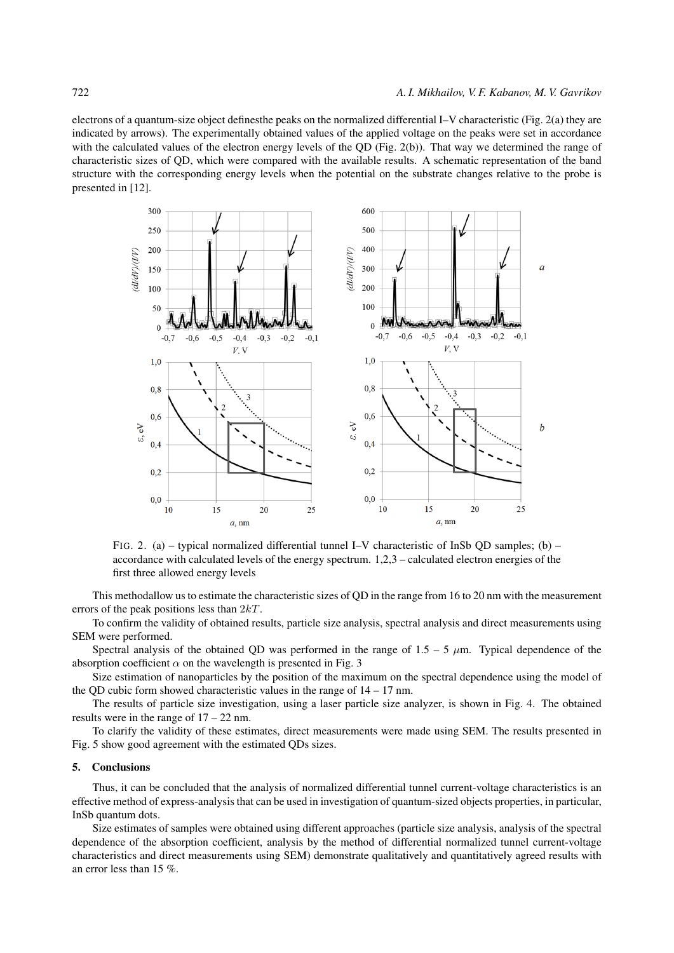electrons of a quantum-size object definesthe peaks on the normalized differential I–V characteristic (Fig. 2(a) they are indicated by arrows). The experimentally obtained values of the applied voltage on the peaks were set in accordance with the calculated values of the electron energy levels of the QD (Fig. 2(b)). That way we determined the range of characteristic sizes of QD, which were compared with the available results. A schematic representation of the band structure with the corresponding energy levels when the potential on the substrate changes relative to the probe is presented in [12].



FIG. 2. (a) – typical normalized differential tunnel I–V characteristic of InSb QD samples; (b) – accordance with calculated levels of the energy spectrum. 1,2,3 – calculated electron energies of the first three allowed energy levels

This methodallow us to estimate the characteristic sizes of QD in the range from 16 to 20 nm with the measurement errors of the peak positions less than 2kT.

To confirm the validity of obtained results, particle size analysis, spectral analysis and direct measurements using SEM were performed.

Spectral analysis of the obtained QD was performed in the range of  $1.5 - 5 \mu m$ . Typical dependence of the absorption coefficient  $\alpha$  on the wavelength is presented in Fig. 3

Size estimation of nanoparticles by the position of the maximum on the spectral dependence using the model of the QD cubic form showed characteristic values in the range of  $14 - 17$  nm.

The results of particle size investigation, using a laser particle size analyzer, is shown in Fig. 4. The obtained results were in the range of 17 – 22 nm.

To clarify the validity of these estimates, direct measurements were made using SEM. The results presented in Fig. 5 show good agreement with the estimated QDs sizes.

#### 5. Conclusions

Thus, it can be concluded that the analysis of normalized differential tunnel current-voltage characteristics is an effective method of express-analysis that can be used in investigation of quantum-sized objects properties, in particular, InSb quantum dots.

Size estimates of samples were obtained using different approaches (particle size analysis, analysis of the spectral dependence of the absorption coefficient, analysis by the method of differential normalized tunnel current-voltage characteristics and direct measurements using SEM) demonstrate qualitatively and quantitatively agreed results with an error less than 15 %.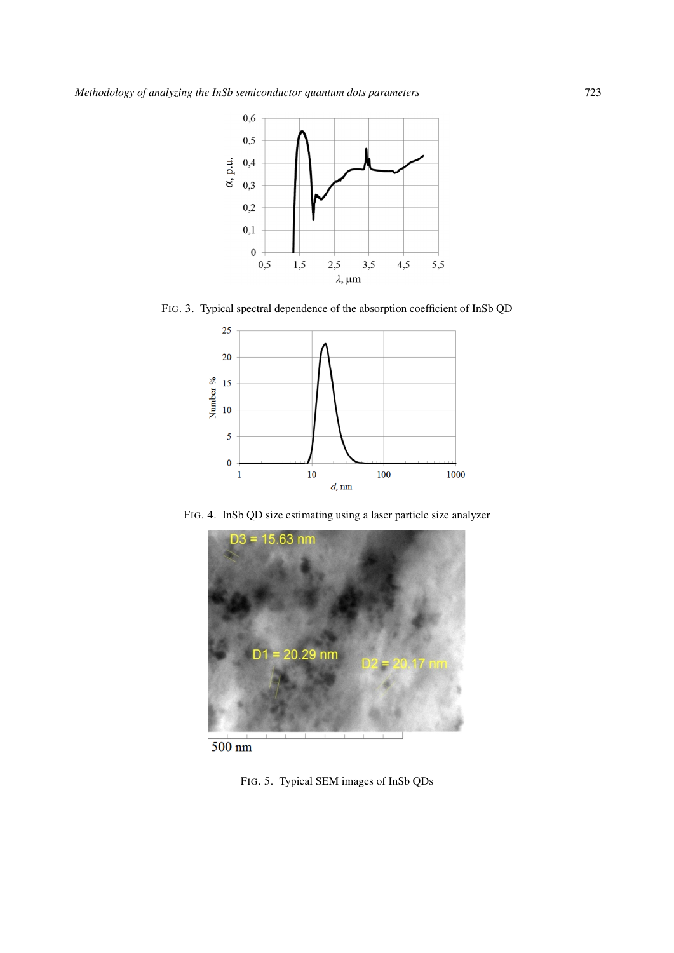

FIG. 3. Typical spectral dependence of the absorption coefficient of InSb QD



FIG. 4. InSb QD size estimating using a laser particle size analyzer



 $500 \text{ nm}$ 

FIG. 5. Typical SEM images of InSb QDs